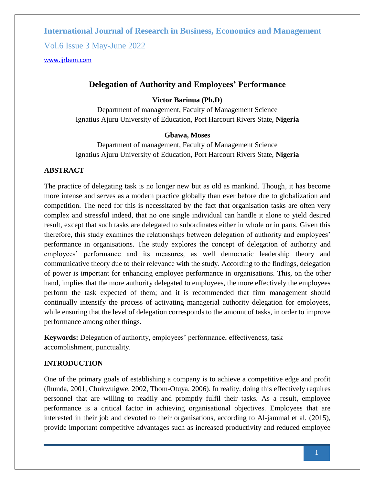Vol.6 Issue 3 May-June 2022

[www.ijrbem.com](file:///G:/New%20folder%20(2)/New%20folder/IJRBEM/pepar/2019/May-June/BEM361%20pub/www.ijrbem.com)

### **Delegation of Authority and Employees' Performance**

#### **Victor Barinua (Ph.D)**

Department of management, Faculty of Management Science Ignatius Ajuru University of Education, Port Harcourt Rivers State, **Nigeria**

#### **Gbawa, Moses**

Department of management, Faculty of Management Science Ignatius Ajuru University of Education, Port Harcourt Rivers State, **Nigeria**

#### **ABSTRACT**

The practice of delegating task is no longer new but as old as mankind. Though, it has become more intense and serves as a modern practice globally than ever before due to globalization and competition. The need for this is necessitated by the fact that organisation tasks are often very complex and stressful indeed, that no one single individual can handle it alone to yield desired result, except that such tasks are delegated to subordinates either in whole or in parts. Given this therefore, this study examines the relationships between delegation of authority and employees' performance in organisations. The study explores the concept of delegation of authority and employees' performance and its measures, as well democratic leadership theory and communicative theory due to their relevance with the study. According to the findings, delegation of power is important for enhancing employee performance in organisations. This, on the other hand, implies that the more authority delegated to employees, the more effectively the employees perform the task expected of them; and it is recommended that firm management should continually intensify the process of activating managerial authority delegation for employees, while ensuring that the level of delegation corresponds to the amount of tasks, in order to improve performance among other things**.**

**Keywords:** Delegation of authority, employees' performance, effectiveness, task accomplishment, punctuality.

#### **INTRODUCTION**

One of the primary goals of establishing a company is to achieve a competitive edge and profit (Ihunda, 2001, Chukwuigwe, 2002, Thom-Otuya, 2006). In reality, doing this effectively requires personnel that are willing to readily and promptly fulfil their tasks. As a result, employee performance is a critical factor in achieving organisational objectives. Employees that are interested in their job and devoted to their organisations, according to Al-jammal et al. (2015), provide important competitive advantages such as increased productivity and reduced employee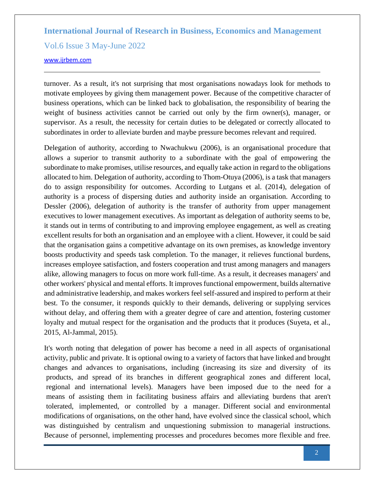Vol.6 Issue 3 May-June 2022

[www.ijrbem.com](file:///G:/New%20folder%20(2)/New%20folder/IJRBEM/pepar/2019/May-June/BEM361%20pub/www.ijrbem.com)

turnover. As a result, it's not surprising that most organisations nowadays look for methods to motivate employees by giving them management power. Because of the competitive character of business operations, which can be linked back to globalisation, the responsibility of bearing the weight of business activities cannot be carried out only by the firm owner(s), manager, or supervisor. As a result, the necessity for certain duties to be delegated or correctly allocated to subordinates in order to alleviate burden and maybe pressure becomes relevant and required.

Delegation of authority, according to Nwachukwu (2006), is an organisational procedure that allows a superior to transmit authority to a subordinate with the goal of empowering the subordinate to make promises, utilise resources, and equally take action in regard to the obligations allocated to him. Delegation of authority, according to Thom-Otuya (2006), is a task that managers do to assign responsibility for outcomes. According to Lutgans et al. (2014), delegation of authority is a process of dispersing duties and authority inside an organisation. According to Dessler (2006), delegation of authority is the transfer of authority from upper management executives to lower management executives. As important as delegation of authority seems to be, it stands out in terms of contributing to and improving employee engagement, as well as creating excellent results for both an organisation and an employee with a client. However, it could be said that the organisation gains a competitive advantage on its own premises, as knowledge inventory boosts productivity and speeds task completion. To the manager, it relieves functional burdens, increases employee satisfaction, and fosters cooperation and trust among managers and managers alike, allowing managers to focus on more work full-time. As a result, it decreases managers' and other workers' physical and mental efforts. It improves functional empowerment, builds alternative and administrative leadership, and makes workers feel self-assured and inspired to perform at their best. To the consumer, it responds quickly to their demands, delivering or supplying services without delay, and offering them with a greater degree of care and attention, fostering customer loyalty and mutual respect for the organisation and the products that it produces (Suyeta, et al., 2015, Al-Jammal, 2015).

It's worth noting that delegation of power has become a need in all aspects of organisational activity, public and private. It is optional owing to a variety of factors that have linked and brought changes and advances to organisations, including (increasing its size and diversity of its products, and spread of its branches in different geographical zones and different local, regional and international levels). Managers have been imposed due to the need for a means of assisting them in facilitating business affairs and alleviating burdens that aren't tolerated, implemented, or controlled by a manager. Different social and environmental modifications of organisations, on the other hand, have evolved since the classical school, which was distinguished by centralism and unquestioning submission to managerial instructions. Because of personnel, implementing processes and procedures becomes more flexible and free.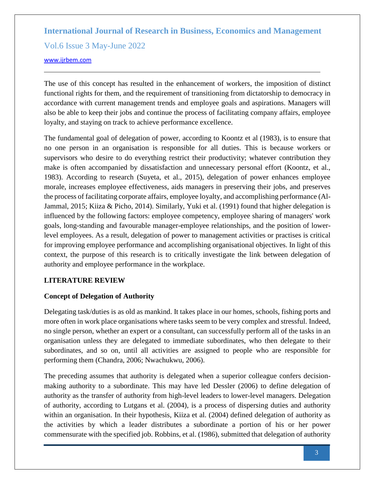Vol.6 Issue 3 May-June 2022

[www.ijrbem.com](file:///G:/New%20folder%20(2)/New%20folder/IJRBEM/pepar/2019/May-June/BEM361%20pub/www.ijrbem.com)

The use of this concept has resulted in the enhancement of workers, the imposition of distinct functional rights for them, and the requirement of transitioning from dictatorship to democracy in accordance with current management trends and employee goals and aspirations. Managers will also be able to keep their jobs and continue the process of facilitating company affairs, employee loyalty, and staying on track to achieve performance excellence.

The fundamental goal of delegation of power, according to Koontz et al (1983), is to ensure that no one person in an organisation is responsible for all duties. This is because workers or supervisors who desire to do everything restrict their productivity; whatever contribution they make is often accompanied by dissatisfaction and unnecessary personal effort (Koontz, et al., 1983). According to research (Suyeta, et al., 2015), delegation of power enhances employee morale, increases employee effectiveness, aids managers in preserving their jobs, and preserves the process of facilitating corporate affairs, employee loyalty, and accomplishing performance (Al-Jammal, 2015; Kiiza & Picho, 2014). Similarly, Yuki et al. (1991) found that higher delegation is influenced by the following factors: employee competency, employee sharing of managers' work goals, long-standing and favourable manager-employee relationships, and the position of lowerlevel employees. As a result, delegation of power to management activities or practises is critical for improving employee performance and accomplishing organisational objectives. In light of this context, the purpose of this research is to critically investigate the link between delegation of authority and employee performance in the workplace.

# **LITERATURE REVIEW**

# **Concept of Delegation of Authority**

Delegating task/duties is as old as mankind. It takes place in our homes, schools, fishing ports and more often in work place organisations where tasks seem to be very complex and stressful. Indeed, no single person, whether an expert or a consultant, can successfully perform all of the tasks in an organisation unless they are delegated to immediate subordinates, who then delegate to their subordinates, and so on, until all activities are assigned to people who are responsible for performing them (Chandra, 2006; Nwachukwu, 2006).

The preceding assumes that authority is delegated when a superior colleague confers decisionmaking authority to a subordinate. This may have led Dessler (2006) to define delegation of authority as the transfer of authority from high-level leaders to lower-level managers. Delegation of authority, according to Lutgans et al. (2004), is a process of dispersing duties and authority within an organisation. In their hypothesis, Kiiza et al. (2004) defined delegation of authority as the activities by which a leader distributes a subordinate a portion of his or her power commensurate with the specified job. Robbins, et al. (1986), submitted that delegation of authority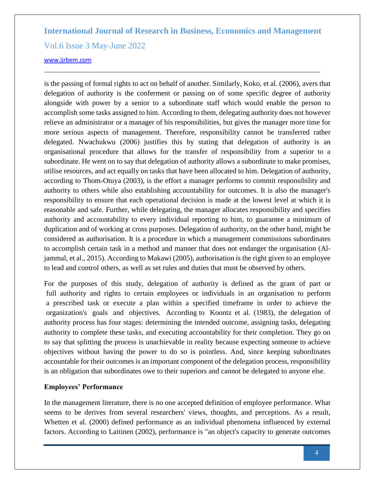Vol.6 Issue 3 May-June 2022

#### [www.ijrbem.com](file:///G:/New%20folder%20(2)/New%20folder/IJRBEM/pepar/2019/May-June/BEM361%20pub/www.ijrbem.com)

is the passing of formal rights to act on behalf of another. Similarly, Koko, et al. (2006), avers that delegation of authority is the conferment or passing on of some specific degree of authority alongside with power by a senior to a subordinate staff which would enable the person to accomplish some tasks assigned to him. According to them, delegating authority does not however relieve an administrator or a manager of his responsibilities, but gives the manager more time for more serious aspects of management. Therefore, responsibility cannot be transferred rather delegated. Nwachukwu (2006) justifies this by stating that delegation of authority is an organisational procedure that allows for the transfer of responsibility from a superior to a subordinate. He went on to say that delegation of authority allows a subordinate to make promises, utilise resources, and act equally on tasks that have been allocated to him. Delegation of authority, according to Thom-Otuya (2003), is the effort a manager performs to commit responsibility and authority to others while also establishing accountability for outcomes. It is also the manager's responsibility to ensure that each operational decision is made at the lowest level at which it is reasonable and safe. Further, while delegating, the manager allocates responsibility and specifies authority and accountability to every individual reporting to him, to guarantee a minimum of duplication and of working at cross purposes. Delegation of authority, on the other hand, might be considered as authorisation. It is a procedure in which a management commissions subordinates to accomplish certain task in a method and manner that does not endanger the organisation (Aljammal, et al., 2015). According to Makawi (2005), authorisation is the right given to an employee to lead and control others, as well as set rules and duties that must be observed by others.

For the purposes of this study, delegation of authority is defined as the grant of part or full authority and rights to certain employees or individuals in an organisation to perform a prescribed task or execute a plan within a specified timeframe in order to achieve the organization's goals and objectives. According to Koontz et al. (1983), the delegation of authority process has four stages: determining the intended outcome, assigning tasks, delegating authority to complete these tasks, and executing accountability for their completion. They go on to say that splitting the process is unachievable in reality because expecting someone to achieve objectives without having the power to do so is pointless. And, since keeping subordinates accountable for their outcomes is an important component of the delegation process, responsibility is an obligation that subordinates owe to their superiors and cannot be delegated to anyone else.

#### **Employees' Performance**

In the management literature, there is no one accepted definition of employee performance. What seems to be derives from several researchers' views, thoughts, and perceptions. As a result, Whetten et al. (2000) defined performance as an individual phenomena influenced by external factors. According to Laitinen (2002), performance is "an object's capacity to generate outcomes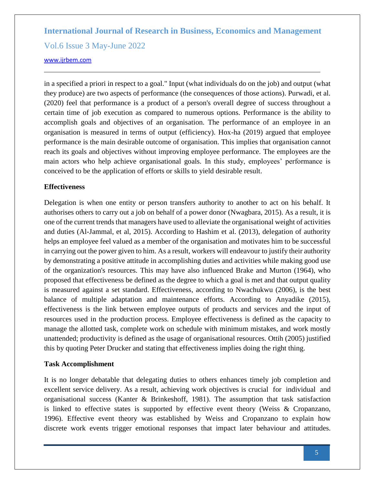Vol.6 Issue 3 May-June 2022

#### [www.ijrbem.com](file:///G:/New%20folder%20(2)/New%20folder/IJRBEM/pepar/2019/May-June/BEM361%20pub/www.ijrbem.com)

in a specified a priori in respect to a goal." Input (what individuals do on the job) and output (what they produce) are two aspects of performance (the consequences of those actions). Purwadi, et al. (2020) feel that performance is a product of a person's overall degree of success throughout a certain time of job execution as compared to numerous options. Performance is the ability to accomplish goals and objectives of an organisation. The performance of an employee in an organisation is measured in terms of output (efficiency). Hox-ha (2019) argued that employee performance is the main desirable outcome of organisation. This implies that organisation cannot reach its goals and objectives without improving employee performance. The employees are the main actors who help achieve organisational goals. In this study, employees' performance is conceived to be the application of efforts or skills to yield desirable result.

#### **Effectiveness**

Delegation is when one entity or person transfers authority to another to act on his behalf. It authorises others to carry out a job on behalf of a power donor (Nwagbara, 2015). As a result, it is one of the current trends that managers have used to alleviate the organisational weight of activities and duties (Al-Jammal, et al, 2015). According to Hashim et al. (2013), delegation of authority helps an employee feel valued as a member of the organisation and motivates him to be successful in carrying out the power given to him. As a result, workers will endeavour to justify their authority by demonstrating a positive attitude in accomplishing duties and activities while making good use of the organization's resources. This may have also influenced Brake and Murton (1964), who proposed that effectiveness be defined as the degree to which a goal is met and that output quality is measured against a set standard. Effectiveness, according to Nwachukwu (2006), is the best balance of multiple adaptation and maintenance efforts. According to Anyadike (2015), effectiveness is the link between employee outputs of products and services and the input of resources used in the production process. Employee effectiveness is defined as the capacity to manage the allotted task, complete work on schedule with minimum mistakes, and work mostly unattended; productivity is defined as the usage of organisational resources. Ottih (2005) justified this by quoting Peter Drucker and stating that effectiveness implies doing the right thing.

#### **Task Accomplishment**

It is no longer debatable that delegating duties to others enhances timely job completion and excellent service delivery. As a result, achieving work objectives is crucial for individual and organisational success (Kanter & Brinkeshoff, 1981). The assumption that task satisfaction is linked to effective states is supported by effective event theory (Weiss  $\&$  Cropanzano, 1996). Effective event theory was established by Weiss and Cropanzano to explain how discrete work events trigger emotional responses that impact later behaviour and attitudes.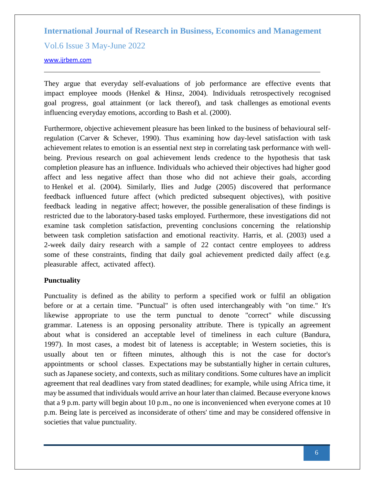Vol.6 Issue 3 May-June 2022

[www.ijrbem.com](file:///G:/New%20folder%20(2)/New%20folder/IJRBEM/pepar/2019/May-June/BEM361%20pub/www.ijrbem.com)

They argue that everyday self-evaluations of job performance are effective events that impact employee moods (Henkel  $\&$  Hinsz, 2004). Individuals retrospectively recognised goal progress, goal attainment (or lack thereof), and task challenges as emotional events influencing everyday emotions, according to Bash et al. (2000).

Furthermore, objective achievement pleasure has been linked to the business of behavioural selfregulation (Carver & Schever, 1990). Thus examining how day-level satisfaction with task achievement relates to emotion is an essential next step in correlating task performance with wellbeing. Previous research on goal achievement lends credence to the hypothesis that task completion pleasure has an influence. Individuals who achieved their objectives had higher good affect and less negative affect than those who did not achieve their goals, according to Henkel et al. (2004). Similarly, Ilies and Judge (2005) discovered that performance feedback influenced future affect (which predicted subsequent objectives), with positive feedback leading in negative affect; however, the possible generalisation of these findings is restricted due to the laboratory-based tasks employed. Furthermore, these investigations did not examine task completion satisfaction, preventing conclusions concerning the relationship between task completion satisfaction and emotional reactivity. Harris, et al. (2003) used a 2-week daily dairy research with a sample of 22 contact centre employees to address some of these constraints, finding that daily goal achievement predicted daily affect (e.g. pleasurable affect, activated affect).

#### **Punctuality**

Punctuality is defined as the ability to perform a specified work or fulfil an obligation before or at a certain time. "Punctual" is often used interchangeably with "on time." It's likewise appropriate to use the term punctual to denote "correct" while discussing grammar. Lateness is an opposing personality attribute. There is typically an agreement about what is considered an acceptable level of timeliness in each culture (Bandura, 1997). In most cases, a modest bit of lateness is acceptable; in Western societies, this is usually about ten or fifteen minutes, although this is not the case for doctor's appointments or school classes. Expectations may be substantially higher in certain cultures, such as Japanese society, and contexts, such as military conditions. Some cultures have an implicit agreement that real deadlines vary from stated deadlines; for example, while using Africa time, it may be assumed that individuals would arrive an hour later than claimed. Because everyone knows that a 9 p.m. party will begin about 10 p.m., no one is inconvenienced when everyone comes at 10 p.m. Being late is perceived as inconsiderate of others' time and may be considered offensive in societies that value punctuality.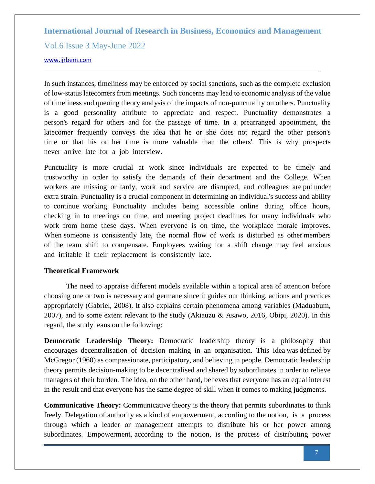Vol.6 Issue 3 May-June 2022

#### [www.ijrbem.com](file:///G:/New%20folder%20(2)/New%20folder/IJRBEM/pepar/2019/May-June/BEM361%20pub/www.ijrbem.com)

In such instances, timeliness may be enforced by social sanctions, such as the complete exclusion of low-status latecomers from meetings. Such concerns may lead to economic analysis of the value of timeliness and queuing theory analysis of the impacts of non-punctuality on others. Punctuality is a good personality attribute to appreciate and respect. Punctuality demonstrates a person's regard for others and for the passage of time. In a prearranged appointment, the latecomer frequently conveys the idea that he or she does not regard the other person's time or that his or her time is more valuable than the others'. This is why prospects never arrive late for a job interview.

Punctuality is more crucial at work since individuals are expected to be timely and trustworthy in order to satisfy the demands of their department and the College. When workers are missing or tardy, work and service are disrupted, and colleagues are put under extra strain. Punctuality is a crucial component in determining an individual's success and ability to continue working. Punctuality includes being accessible online during office hours, checking in to meetings on time, and meeting project deadlines for many individuals who work from home these days. When everyone is on time, the workplace morale improves. When someone is consistently late, the normal flow of work is disturbed as other members of the team shift to compensate. Employees waiting for a shift change may feel anxious and irritable if their replacement is consistently late.

#### **Theoretical Framework**

The need to appraise different models available within a topical area of attention before choosing one or two is necessary and germane since it guides our thinking, actions and practices appropriately (Gabriel, 2008). It also explains certain phenomena among variables (Maduabum, 2007), and to some extent relevant to the study (Akiauzu & Asawo, 2016, Obipi, 2020). In this regard, the study leans on the following:

**Democratic Leadership Theory:** Democratic leadership theory is a philosophy that encourages decentralisation of decision making in an organisation. This idea was defined by McGregor (1960) as compassionate, participatory, and believing in people. Democratic leadership theory permits decision-making to be decentralised and shared by subordinates in order to relieve managers of their burden. The idea, on the other hand, believes that everyone has an equal interest in the result and that everyone has the same degree of skill when it comes to making judgments**.** 

**Communicative Theory:** Communicative theory is the theory that permits subordinates to think freely. Delegation of authority as a kind of empowerment, according to the notion, is a process through which a leader or management attempts to distribute his or her power among subordinates. Empowerment, according to the notion, is the process of distributing power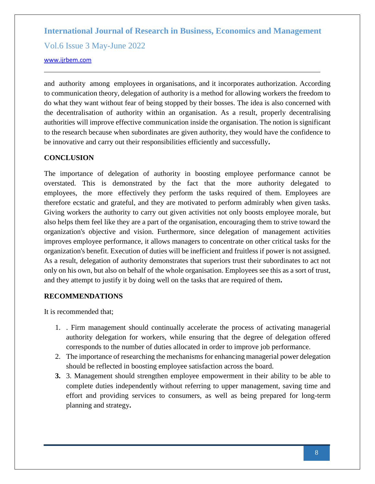Vol.6 Issue 3 May-June 2022

#### [www.ijrbem.com](file:///G:/New%20folder%20(2)/New%20folder/IJRBEM/pepar/2019/May-June/BEM361%20pub/www.ijrbem.com)

and authority among employees in organisations, and it incorporates authorization. According to communication theory, delegation of authority is a method for allowing workers the freedom to do what they want without fear of being stopped by their bosses. The idea is also concerned with the decentralisation of authority within an organisation. As a result, properly decentralising authorities will improve effective communication inside the organisation. The notion is significant to the research because when subordinates are given authority, they would have the confidence to be innovative and carry out their responsibilities efficiently and successfully**.**

# **CONCLUSION**

The importance of delegation of authority in boosting employee performance cannot be overstated. This is demonstrated by the fact that the more authority delegated to employees, the more effectively they perform the tasks required of them. Employees are therefore ecstatic and grateful, and they are motivated to perform admirably when given tasks. Giving workers the authority to carry out given activities not only boosts employee morale, but also helps them feel like they are a part of the organisation, encouraging them to strive toward the organization's objective and vision. Furthermore, since delegation of management activities improves employee performance, it allows managers to concentrate on other critical tasks for the organization's benefit. Execution of duties will be inefficient and fruitless if power is not assigned. As a result, delegation of authority demonstrates that superiors trust their subordinates to act not only on his own, but also on behalf of the whole organisation. Employees see this as a sort of trust, and they attempt to justify it by doing well on the tasks that are required of them**.** 

### **RECOMMENDATIONS**

It is recommended that;

- 1. . Firm management should continually accelerate the process of activating managerial authority delegation for workers, while ensuring that the degree of delegation offered corresponds to the number of duties allocated in order to improve job performance.
- 2. The importance of researching the mechanisms for enhancing managerial power delegation should be reflected in boosting employee satisfaction across the board.
- **3.** 3. Management should strengthen employee empowerment in their ability to be able to complete duties independently without referring to upper management, saving time and effort and providing services to consumers, as well as being prepared for long-term planning and strategy**.**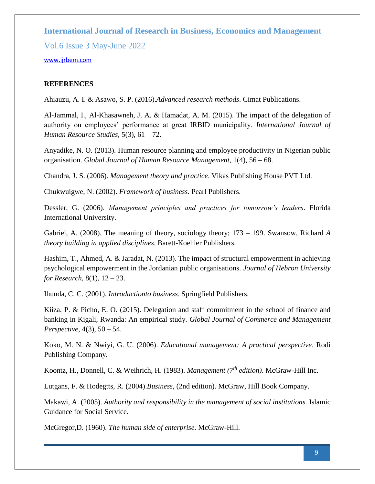Vol.6 Issue 3 May-June 2022

#### [www.ijrbem.com](file:///G:/New%20folder%20(2)/New%20folder/IJRBEM/pepar/2019/May-June/BEM361%20pub/www.ijrbem.com)

#### **REFERENCES**

Ahiauzu, A. I. & Asawo, S. P. (2016).*Advanced research methods*. Cimat Publications.

Al-Jammal, I., Al-Khasawneh, J. A. & Hamadat, A. M. (2015). The impact of the delegation of authority on employees' performance at great IRBID municipality. *International Journal of Human Resource Studies*, 5(3), 61 – 72.

Anyadike, N. O. (2013). Human resource planning and employee productivity in Nigerian public organisation. *Global Journal of Human Resource Management*, 1(4), 56 – 68.

Chandra, J. S. (2006). *Management theory and practice*. Vikas Publishing House PVT Ltd.

Chukwuigwe, N. (2002). *Framework of business.* Pearl Publishers.

Dessler, G. (2006). *Management principles and practices for tomorrow's leaders*. Florida International University.

Gabriel, A. (2008). The meaning of theory, sociology theory; 173 – 199. Swansow, Richard *A theory building in applied disciplines*. Barett-Koehler Publishers.

Hashim, T., Ahmed, A. & Jaradat, N. (2013). The impact of structural empowerment in achieving psychological empowerment in the Jordanian public organisations. *Journal of Hebron University for Research*, 8(1), 12 – 23.

Ihunda, C. C. (2001). *Introductionto business*. Springfield Publishers.

Kiiza, P. & Picho, E. O. (2015). Delegation and staff commitment in the school of finance and banking in Kigali, Rwanda: An empirical study. *Global Journal of Commerce and Management Perspective*, 4(3), 50 – 54.

Koko, M. N. & Nwiyi, G. U. (2006). *Educational management: A practical perspective*. Rodi Publishing Company.

Koontz, H., Donnell, C. & Weihrich, H. (1983). *Management (7th edition)*. McGraw-Hill Inc.

Lutgans, F. & Hodegtts, R. (2004).*Business*, (2nd edition). McGraw, Hill Book Company.

Makawi, A. (2005). *Authority and responsibility in the management of social institutions.* Islamic Guidance for Social Service.

McGregor,D. (1960). *The human side of enterprise*. McGraw-Hill.